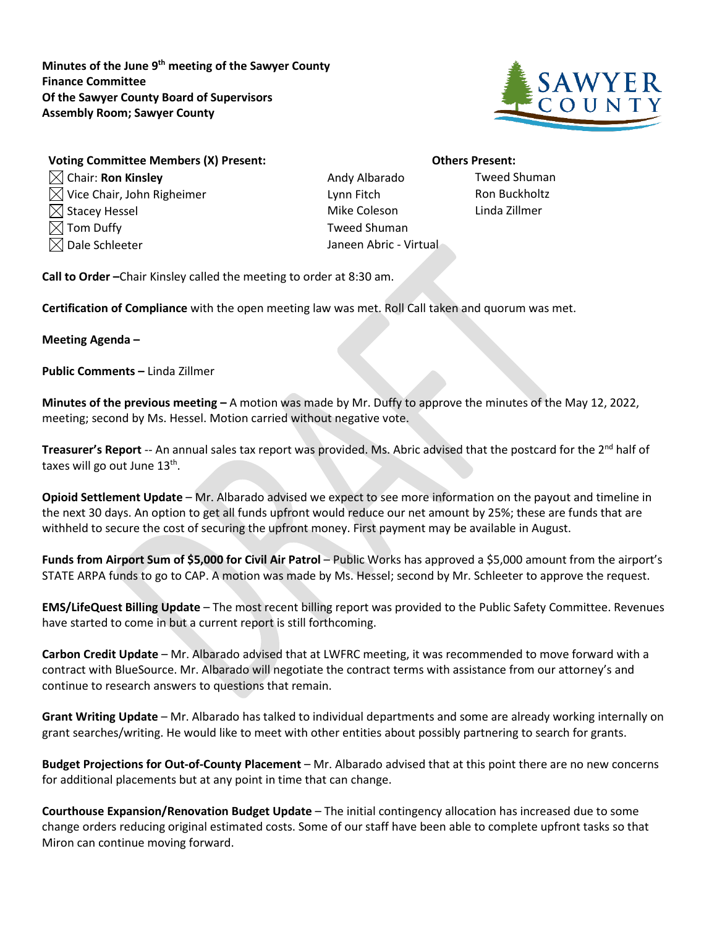**Minutes of the June 9th meeting of the Sawyer County Finance Committee Of the Sawyer County Board of Supervisors Assembly Room; Sawyer County**



| Voting Committee Members (X) Present:  |
|----------------------------------------|
| $\boxtimes$ Chair: Ron Kinsley         |
| $\boxtimes$ Vice Chair, John Righeimer |
| $\boxtimes$ Stacey Hessel              |
| $\boxtimes$ Tom Duffy                  |

Andy Albarado **Tweed Shuman** Lynn Fitch Ron Buckholtz Mike Coleson Linda Zillmer Tweed Shuman  $\boxtimes$  Dale Schleeter  $\Box$  Janeen Abric - Virtual

**Others Present:** 

**Call to Order –**Chair Kinsley called the meeting to order at 8:30 am.

**Certification of Compliance** with the open meeting law was met. Roll Call taken and quorum was met.

## **Meeting Agenda –**

**Public Comments –** Linda Zillmer

**Minutes of the previous meeting –** A motion was made by Mr. Duffy to approve the minutes of the May 12, 2022, meeting; second by Ms. Hessel. Motion carried without negative vote.

**Treasurer's Report** -- An annual sales tax report was provided. Ms. Abric advised that the postcard for the 2<sup>nd</sup> half of taxes will go out June  $13<sup>th</sup>$ .

**Opioid Settlement Update** – Mr. Albarado advised we expect to see more information on the payout and timeline in the next 30 days. An option to get all funds upfront would reduce our net amount by 25%; these are funds that are withheld to secure the cost of securing the upfront money. First payment may be available in August.

**Funds from Airport Sum of \$5,000 for Civil Air Patrol** – Public Works has approved a \$5,000 amount from the airport's STATE ARPA funds to go to CAP. A motion was made by Ms. Hessel; second by Mr. Schleeter to approve the request.

**EMS/LifeQuest Billing Update** – The most recent billing report was provided to the Public Safety Committee. Revenues have started to come in but a current report is still forthcoming.

**Carbon Credit Update** – Mr. Albarado advised that at LWFRC meeting, it was recommended to move forward with a contract with BlueSource. Mr. Albarado will negotiate the contract terms with assistance from our attorney's and continue to research answers to questions that remain.

**Grant Writing Update** – Mr. Albarado has talked to individual departments and some are already working internally on grant searches/writing. He would like to meet with other entities about possibly partnering to search for grants.

**Budget Projections for Out-of-County Placement** – Mr. Albarado advised that at this point there are no new concerns for additional placements but at any point in time that can change.

**Courthouse Expansion/Renovation Budget Update** – The initial contingency allocation has increased due to some change orders reducing original estimated costs. Some of our staff have been able to complete upfront tasks so that Miron can continue moving forward.